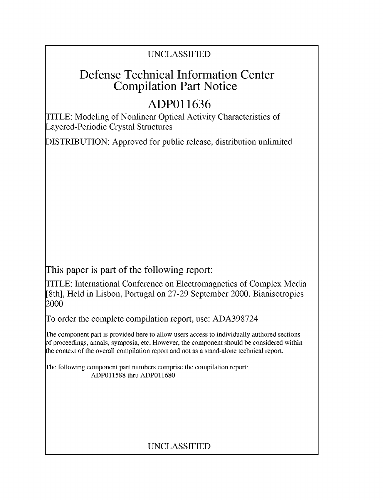## UNCLASSIFIED

## Defense Technical Information Center Compilation Part Notice

# **ADPO 11636**

TITLE: Modeling of Nonlinear Optical Activity Characteristics of Layered-Periodic Crystal Structures

DISTRIBUTION: Approved for public release, distribution unlimited

This paper is part of the following report:

TITLE: International Conference on Electromagnetics of Complex Media [8th], Held in Lisbon, Portugal on 27-29 September 2000. Bianisotropics 2000

To order the complete compilation report, use: ADA398724

The component part is provided here to allow users access to individually authored sections f proceedings, annals, symposia, etc. However, the component should be considered within [he context of the overall compilation report and not as a stand-alone technical report.

The following component part numbers comprise the compilation report: ADP011588 thru ADP011680

## UNCLASSIFIED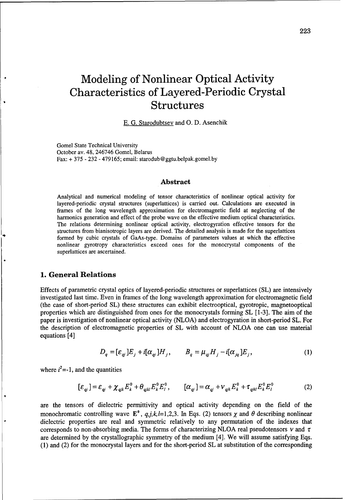# Modeling of Nonlinear Optical Activity Characteristics of Layered-Periodic Crystal Structures

E. G. Starodubtsev and **0.** D. Asenchik

Gomel State Technical University October av. 48, 246746 Gomel, Belarus Fax: + 375 - 232 - 479165; email: starodub@ggtu.belpak.gomel.by

#### Abstract

Analytical and numerical modeling of tensor characteristics of nonlinear optical activity for layered-periodic crystal structures (superlattices) is carried out. Calculations are executed in frames of the long wavelength approximation for electromagnetic field at neglecting of the harmonics generation and effect of the probe wave on the effective medium optical characteristics. The relations determining nonlinear optical activity, electrogyration effective tensors for the structures from bianisotropic layers are derived. The detailed analysis is made for the superlattices formed by cubic crystals of GaAs-type. Domains of parameters values at which the effective nonlinear gyrotropy characteristics exceed ones for the monocrystal components of the superlattices are ascertained.

#### **1.** General Relations

Effects of parametric crystal optics of layered-periodic structures or superlattices (SL) are intensively investigated last time. Even in frames of the long wavelength approximation for electromagnetic field (the case of short-period SL) these structures can exhibit electrooptical, gyrotropic, magnetooptical properties which are distinguished from ones for the monocrystals forming SL [1-3]. The aim of the paper is investigation of nonlinear optical activity (NLOA) and electrogyration in short-period SL. For the description of electromagnetic properties of SL with account of NLOA one can use material equations [4]

$$
D_q = [\varepsilon_{qj}] E_j + i[\alpha_{qj}] H_j, \qquad B_q = \mu_{qj} H_j - i[\alpha_{jq}] E_j,
$$
\n(1)

where  $i^2 = -1$ , and the quantities

$$
[\varepsilon_{qj}] = \varepsilon_{qj} + \chi_{qjk} E_k^0 + \theta_{qjkl} E_k^0 E_l^0, \qquad [\alpha_{qj}] = \alpha_{qj} + \nu_{qjk} E_k^0 + \tau_{qjkl} E_k^0 E_l^0 \tag{2}
$$

are the tensors of dielectric permittivity and optical activity depending on the field of the monochromatic controlling wave  $\mathbf{E}^0$ ,  $q,j,k,l=1,2,3$ . In Eqs. (2) tensors  $\chi$  and  $\theta$  describing nonlinear dielectric properties are real and symmetric relatively to any permutation of the indexes that corresponds to non-absorbing media. The forms of characterizing NLOA real pseudotensors  $v$  and  $\tau$ are determined by the crystallographic symmetry of the medium [4]. We will assume satisfying Eqs. (1) and (2) for the monocrystal layers and for the short-period SL at substitution of the corresponding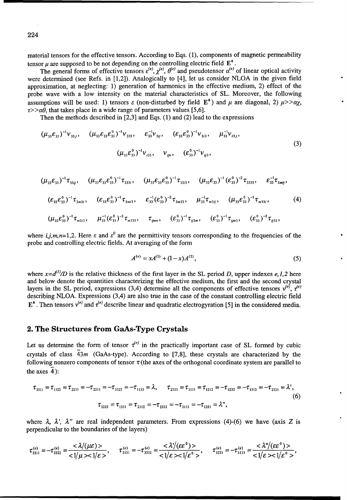material tensors for the effective tensors. According to Eqs. (1), components of magnetic permeability tensor u are supposed to be not depending on the controlling electric field  $E^0$ .

The general forms of effective tensors  $\varepsilon^{(e)}$ ,  $\chi^{(e)}$ ,  $\theta^{(e)}$  and pseudotensor  $\alpha^{(e)}$  of linear optical activity were determined (see Refs. in [1,2]). Analogically to [4], let us consider NLOA in the given field approximation, at neglecting: 1) generation of harmonics in the effective medium, 2) effect of the probe wave with a low intensity on the material characteristics of SL. Moreover, the following assumptions will be used: 1) tensors  $\varepsilon$  (non-disturbed by field  $\mathbf{E}^0$ ) and  $\mu$  are diagonal, 2)  $\mu$ >  $\alpha$ x.  $\tau$ >> $\alpha\theta$ , that takes place in a wide range of parameters values [5.6].

Then the methods described in  $[2,3]$  and Eqs. (1) and (2) lead to the expressions

$$
(\mu_{33}\varepsilon_{33})^{-1}v_{33j}, \quad (\mu_{33}\varepsilon_{33}\varepsilon_{33}^{0})^{-1}v_{333}, \quad \varepsilon_{33}^{-1}v_{3jj}, \quad (\varepsilon_{33}\varepsilon_{33}^{0})^{-1}v_{3i3}, \quad \mu_{33}^{-1}v_{i3j},
$$
  

$$
(\mu_{33}\varepsilon_{33}^{0})^{-1}v_{i33}, \quad v_{ijn}, \quad (\varepsilon_{33}^{0})^{-1}v_{ij3}, \quad (3)
$$

$$
(\mu_{33}\varepsilon_{33})^{-1}\tau_{33ij}, \quad (\mu_{33}\varepsilon_{33}\varepsilon_{33}^{0})^{-1}\tau_{333i}, \quad (\mu_{33}\varepsilon_{33}\varepsilon_{33}^{0})^{-1}\tau_{33i3}, \quad (\mu_{33}\varepsilon_{33})^{-1}(\varepsilon_{33}^{0})^{-2}\tau_{3333}, \quad \varepsilon_{33}^{-1}\tau_{3mij},
$$
  

$$
(\varepsilon_{33}\varepsilon_{33}^{0})^{-1}\tau_{3m3i}, \quad (\varepsilon_{33}\varepsilon_{33}^{0})^{-1}\tau_{3mij}, \quad \varepsilon_{33}^{-1}(\varepsilon_{33}^{0})^{-2}\tau_{3m33}, \quad \mu_{33}^{-1}\tau_{m3ij}, \quad (\mu_{33}\varepsilon_{33}^{0})^{-1}\tau_{m33i}, \quad (4)
$$
  

$$
(\mu_{33}\varepsilon_{33}^{0})^{-1}\tau_{m3i3}, \quad \mu_{33}^{-1}(\varepsilon_{33}^{0})^{-2}\tau_{m333}, \quad \tau_{ijmn}, \quad (\varepsilon_{33}^{0})^{-1}\tau_{ij3m}, \quad (\varepsilon_{33}^{0})^{-1}\tau_{ijmn}, \quad (\varepsilon_{33}^{0})^{-2}\tau_{ij33},
$$

where i,j,m,n=1,2. Here  $\varepsilon$  and  $\varepsilon^0$  are the permittivity tensors corresponding to the frequencies of the probe and controlling electric fields. At averaging of the form

$$
A^{(e)} = xA^{(1)} + (1-x)A^{(2)},\tag{5}
$$

where  $x = d^{(1)}/D$  is the relative thickness of the first layer in the SL period D, upper indexes e, 1,2 here and below denote the quantities characterizing the effective medium, the first and the second crystal layers in the SL period, expressions (3,4) determine all the components of effective tensors  $v^{(e)}$ ,  $\tau^{(e)}$ describing NLOA. Expressions (3,4) are also true in the case of the constant controlling electric field  $\mathbf{E}^0$ . Then tensors  $v^{(e)}$  and  $\tau^{(e)}$  describe linear and quadratic electrogyration [5] in the considered media.

#### 2. The Structures from GaAs-Type Crystals

Let us determine the form of tensor  $\tau^{(e)}$  in the practically important case of SL formed by cubic crystals of class  $\overline{4}3m$  (GaAs-type). According to [7,8], these crystals are characterized by the following nonzero components of tensor  $\tau$  (the axes of the orthogonal coordinate system are parallel to the axes  $4$ :

$$
\tau_{3311} = \tau_{1122} = \tau_{2233} = -\tau_{2211} = -\tau_{3322} = -\tau_{1133} = \lambda, \qquad \tau_{2323} = \tau_{3131} = \tau_{1212} = -\tau_{3232} = -\tau_{1313} = -\tau_{2121} = \lambda',
$$
  
(6)  

$$
\tau_{3223} = \tau_{1331} = \tau_{2112} = -\tau_{2332} = -\tau_{3113} = -\tau_{1221} = \lambda'',
$$

where  $\lambda$ ,  $\lambda'$ ,  $\lambda''$  are real independent parameters. From expressions (4)-(6) we have (axis Z is perpendicular to the boundaries of the layers)

$$
\tau_{3311}^{(e)} = -\tau_{3322}^{(e)} = \frac{<\lambda/(\mu\epsilon)>}{<1/\mu><1/\epsilon>}
$$
\n
$$
\tau_{3131}^{(e)} = -\tau_{3232}^{(e)} = \frac{<\lambda/(\epsilon\epsilon^{0})>}{<1/\epsilon><1/\epsilon^{0}>}
$$
\n
$$
\tau_{3223}^{(e)} = -\tau_{3113}^{(e)} = \frac{<\lambda''/(\epsilon\epsilon^{0})>}{<1/\epsilon><1/\epsilon^{0}>}
$$

224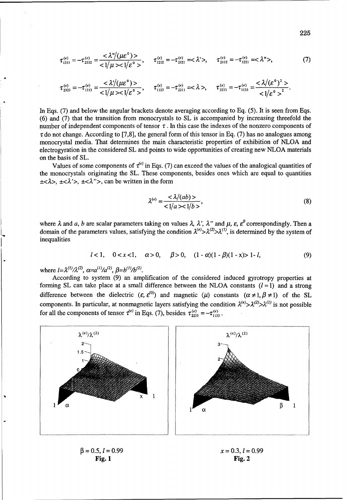$$
\tau_{1331}^{(e)} = -\tau_{2332}^{(e)} = \frac{<\lambda''/(\mu\epsilon^0)>}{<1/\mu><1/\epsilon^0>} , \qquad \tau_{1212}^{(e)} = -\tau_{2121}^{(e)} = <\lambda'>, \qquad \tau_{2112}^{(e)} = -\tau_{1221}^{(e)} = <\lambda''>, \tag{7}
$$

$$
\tau_{2223}^{(e)} = -\tau_{1313}^{(e)} = \frac{<\lambda'/( \mu \varepsilon^0>)}{<1/\mu><1/\varepsilon^0>} , \qquad \tau_{1122}^{(e)} = -\tau_{2211}^{(e)} = <\lambda>, \qquad \tau_{2233}^{(e)} = -\tau_{1133}^{(e)} = \frac{<\lambda/(\varepsilon^0)^2>}{<1/\varepsilon^0>^2}.
$$

In Eqs. (7) and below the angular brackets denote averaging according to Eq. (5). It is seen from Eqs. (6) and (7) that the transition from monocrystals to SL is accompanied by increasing threefold the number of independent components of tensor  $\tau$ . In this case the indexes of the nonzero components of  $\tau$  do not change. According to [7,8], the general form of this tensor in Eq. (7) has no analogues among monocrystal media. That determines the main characteristic properties of exhibition of NLOA and electrogyration in the considered SL and points to wide opportunities of creating new NLOA materials on the basis of SL.

Values of some components of  $\tau^{(e)}$  in Eqs. (7) can exceed the values of the analogical quantities of the monocrystals originating the SL. These components, besides ones which are equal to quantities  $\pm < \lambda >$ ,  $\pm < \lambda' >$ ,  $\pm < \lambda'' >$ , can be written in the form

$$
\lambda^{(e)} = \frac{\langle \lambda/(ab) \rangle}{\langle 1/a \rangle \langle 1/b \rangle},\tag{8}
$$

where  $\lambda$  and  $a$ ,  $b$  are scalar parameters taking on values  $\lambda$ ,  $\lambda'$ ,  $\lambda''$  and  $\mu$ ,  $\varepsilon$ ,  $\varepsilon^0$  correspondingly. Then a domain of the parameters values, satisfying the condition  $\lambda^{(e)} > \lambda^{(2)} > \lambda^{(1)}$ , is determined by the system of inequalities

$$
l < 1, \quad 0 < x < 1, \quad \alpha > 0, \quad \beta > 0, \quad (1 - \alpha)(1 - \beta)(1 - x) > 1 - l,\tag{9}
$$

where  $l = \lambda^{(1)}/\lambda^{(2)}$ ,  $\alpha = a^{(1)}/a^{(2)}$ ,  $\beta = b^{(1)}/b^{(2)}$ .

According to system (9) an amplification of the considered induced gyrotropy properties at forming SL can take place at a small difference between the NLOA constants  $(l \approx 1)$  and a strong difference between the dielectric  $(\varepsilon, \varepsilon^{(0)})$  and magnetic  $(\mu)$  constants  $(\alpha \neq 1, \beta \neq 1)$  of the SL components. In particular, at nonmagnetic layers satisfying the condition  $\lambda^{(e)} > \lambda^{(2)} > \lambda^{(1)}$  is not possible for all the components of tensor  $\tau^{(e)}$  in Eqs. (7), besides  $\tau^{(e)}_{2233} = -\tau^{(e)}_{1133}$ .



Fig. **1** Fig. 2